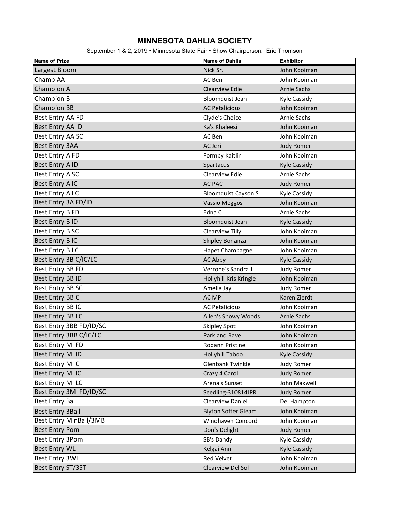## **MINNESOTA DAHLIA SOCIETY**

September 1 & 2, 2019 • Minnesota State Fair • Show Chairperson: Eric Thomson

| <b>Name of Prize</b>          | <b>Name of Dahlia</b>      | <b>Exhibitor</b>    |
|-------------------------------|----------------------------|---------------------|
| Largest Bloom                 | Nick Sr.                   | John Kooiman        |
| Champ AA                      | AC Ben                     | John Kooiman        |
| Champion A                    | <b>Clearview Edie</b>      | <b>Arnie Sachs</b>  |
| Champion B                    | <b>Bloomquist Jean</b>     | <b>Kyle Cassidy</b> |
| <b>Champion BB</b>            | <b>AC Petalicious</b>      | John Kooiman        |
| Best Entry AA FD              | Clyde's Choice             | <b>Arnie Sachs</b>  |
| Best Entry AA ID              | Ka's Khaleesi              | John Kooiman        |
| Best Entry AA SC              | AC Ben                     | John Kooiman        |
| <b>Best Entry 3AA</b>         | AC Jeri                    | <b>Judy Romer</b>   |
| Best Entry A FD               | Formby Kaitlin             | John Kooiman        |
| Best Entry A ID               | Spartacus                  | <b>Kyle Cassidy</b> |
| Best Entry A SC               | Clearview Edie             | <b>Arnie Sachs</b>  |
| Best Entry A IC               | <b>AC PAC</b>              | <b>Judy Romer</b>   |
| Best Entry ALC                | <b>Bloomquist Cayson S</b> | <b>Kyle Cassidy</b> |
| Best Entry 3A FD/ID           | <b>Vassio Meggos</b>       | John Kooiman        |
| Best Entry B FD               | Edna C                     | Arnie Sachs         |
| <b>Best Entry B ID</b>        | <b>Bloomquist Jean</b>     | <b>Kyle Cassidy</b> |
| Best Entry B SC               | Clearview Tilly            | John Kooiman        |
| <b>Best Entry BIC</b>         | Skipley Bonanza            | John Kooiman        |
| <b>Best Entry BLC</b>         | Hapet Champagne            | John Kooiman        |
| Best Entry 3B C/IC/LC         | <b>AC Abby</b>             | <b>Kyle Cassidy</b> |
| Best Entry BB FD              | Verrone's Sandra J.        | <b>Judy Romer</b>   |
| Best Entry BB ID              | Hollyhill Kris Kringle     | John Kooiman        |
| Best Entry BB SC              | Amelia Jay                 | <b>Judy Romer</b>   |
| Best Entry BB C               | <b>AC MP</b>               | Karen Zierdt        |
| Best Entry BB IC              | <b>AC Petalicious</b>      | John Kooiman        |
| <b>Best Entry BB LC</b>       | Allen's Snowy Woods        | <b>Arnie Sachs</b>  |
| Best Entry 3BB FD/ID/SC       | Skipley Spot               | John Kooiman        |
| Best Entry 3BB C/IC/LC        | Parkland Rave              | John Kooiman        |
| Best Entry M FD               | Robann Pristine            | John Kooiman        |
| Best Entry M ID               | <b>Hollyhill Taboo</b>     | <b>Kyle Cassidy</b> |
| Best Entry M C                | <b>Glenbank Twinkle</b>    | <b>Judy Romer</b>   |
| Best Entry M IC               | Crazy 4 Carol              | <b>Judy Romer</b>   |
| Best Entry M LC               | Arena's Sunset             | John Maxwell        |
| Best Entry 3M FD/ID/SC        | Seedling-310814JPR         | <b>Judy Romer</b>   |
| <b>Best Entry Ball</b>        | Clearview Daniel           | Del Hampton         |
| <b>Best Entry 3Ball</b>       | <b>Blyton Softer Gleam</b> | John Kooiman        |
| <b>Best Entry MinBall/3MB</b> | Windhaven Concord          | John Kooiman        |
| <b>Best Entry Pom</b>         | Don's Delight              | <b>Judy Romer</b>   |
| Best Entry 3Pom               | SB's Dandy                 | Kyle Cassidy        |
| <b>Best Entry WL</b>          | Kelgai Ann                 | <b>Kyle Cassidy</b> |
| <b>Best Entry 3WL</b>         | Red Velvet                 | John Kooiman        |
| Best Entry ST/3ST             | Clearview Del Sol          | John Kooiman        |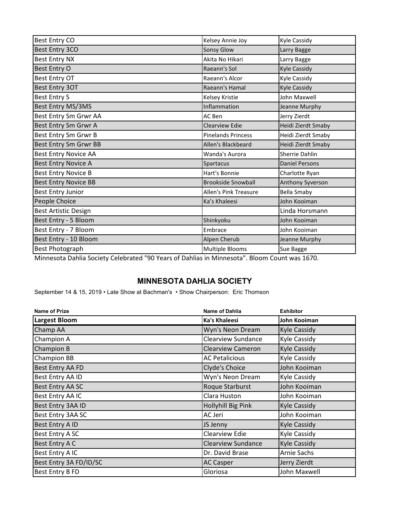| <b>Best Entry CO</b>        | Kelsey Annie Joy             | <b>Kyle Cassidy</b>   |
|-----------------------------|------------------------------|-----------------------|
| Best Entry 3CO              | Sonsy Glow                   | Larry Bagge           |
| <b>Best Entry NX</b>        | Akita No Hikari              | Larry Bagge           |
| Best Entry O                | Raeann's Sol                 | <b>Kyle Cassidy</b>   |
| <b>Best Entry OT</b>        | Raeann's Alcor               | <b>Kyle Cassidy</b>   |
| <b>Best Entry 3OT</b>       | Raeann's Hamal               | <b>Kyle Cassidy</b>   |
| <b>Best Entry S</b>         | Kelsey Kristie               | John Maxwell          |
| Best Entry MS/3MS           | Inflammation                 | Jeanne Murphy         |
| Best Entry Sm Grwr AA       | AC Ben                       | Jerry Zierdt          |
| Best Entry Sm Grwr A        | <b>Clearview Edie</b>        | Heidi Zierdt Smaby    |
| Best Entry Sm Grwr B        | <b>Pinelands Princess</b>    | Heidi Zierdt Smaby    |
| Best Entry Sm Grwr BB       | Allen's Blackbeard           | Heidi Zierdt Smaby    |
| <b>Best Entry Novice AA</b> | Wanda's Aurora               | Sherrie Dahlin        |
| <b>Best Entry Novice A</b>  | Spartacus                    | <b>Daniel Persons</b> |
| <b>Best Entry Novice B</b>  | Hart's Bonnie                | Charlotte Ryan        |
| <b>Best Entry Novice BB</b> | <b>Brookside Snowball</b>    | Anthony Syverson      |
| <b>Best Entry Junior</b>    | <b>Allen's Pink Treasure</b> | <b>Bella Smaby</b>    |
| People Choice               | Ka's Khaleesi                | John Kooiman          |
| <b>Best Artistic Design</b> |                              | Linda Horsmann        |
| Best Entry - 5 Bloom        | Shinkyoku                    | John Kooiman          |
| Best Entry - 7 Bloom        | Embrace                      | John Kooiman          |
| Best Entry - 10 Bloom       | Alpen Cherub                 | Jeanne Murphy         |
| <b>Best Photograph</b>      | Multiple Blooms              | Sue Bagge             |
|                             |                              |                       |

Minnesota Dahlia Society Celebrated "90 Years of Dahlias in Minnesota". Bloom Count was 1670.

## **MINNESOTA DAHLIA SOCIETY**

September 14 & 15, 2019 • Late Show at Bachman's • Show Chairperson: Eric Thomson

| <b>Name of Prize</b>   | <b>Name of Dahlia</b>     | <b>Exhibitor</b>    |
|------------------------|---------------------------|---------------------|
| <b>Largest Bloom</b>   | <b>Ka's Khaleesi</b>      | John Kooiman        |
| Champ AA               | Wyn's Neon Dream          | <b>Kyle Cassidy</b> |
| Champion A             | <b>Clearview Sundance</b> | Kyle Cassidy        |
| Champion B             | <b>Clearview Cameron</b>  | <b>Kyle Cassidy</b> |
| <b>Champion BB</b>     | <b>AC Petalicious</b>     | Kyle Cassidy        |
| Best Entry AA FD       | Clyde's Choice            | John Kooiman        |
| Best Entry AA ID       | Wyn's Neon Dream          | Kyle Cassidy        |
| Best Entry AA SC       | Roque Starburst           | John Kooiman        |
| Best Entry AA IC       | Clara Huston              | John Kooiman        |
| Best Entry 3AA ID      | Hollyhill Big Pink        | Kyle Cassidy        |
| Best Entry 3AA SC      | AC Jeri                   | John Kooiman        |
| Best Entry A ID        | JS Jenny                  | Kyle Cassidy        |
| Best Entry A SC        | Clearview Edie            | Kyle Cassidy        |
| Best Entry A C         | <b>Clearview Sundance</b> | <b>Kyle Cassidy</b> |
| Best Entry A IC        | Dr. David Brase           | Arnie Sachs         |
| Best Entry 3A FD/ID/SC | <b>AC Casper</b>          | Jerry Zierdt        |
| Best Entry B FD        | Gloriosa                  | John Maxwell        |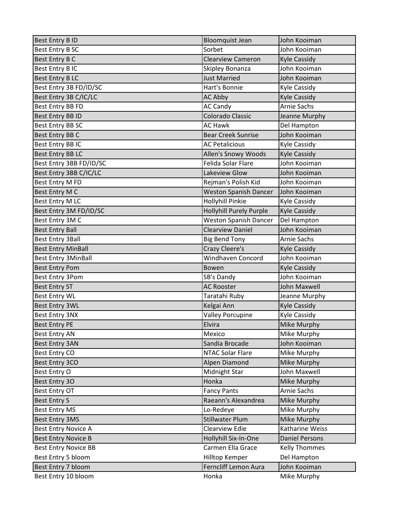| <b>Best Entry B ID</b>      | <b>Bloomquist Jean</b>         | John Kooiman          |
|-----------------------------|--------------------------------|-----------------------|
| Best Entry B SC             | Sorbet                         | John Kooiman          |
| Best Entry B C              | <b>Clearview Cameron</b>       | <b>Kyle Cassidy</b>   |
| Best Entry B IC             | Skipley Bonanza                | John Kooiman          |
| <b>Best Entry BLC</b>       | <b>Just Married</b>            | John Kooiman          |
| Best Entry 3B FD/ID/SC      | Hart's Bonnie                  | Kyle Cassidy          |
| Best Entry 3B C/IC/LC       | <b>AC Abby</b>                 | <b>Kyle Cassidy</b>   |
| Best Entry BB FD            | <b>AC Candy</b>                | <b>Arnie Sachs</b>    |
| Best Entry BB ID            | Colorado Classic               | Jeanne Murphy         |
| Best Entry BB SC            | <b>AC Hawk</b>                 | Del Hampton           |
| Best Entry BB C             | <b>Bear Creek Sunrise</b>      | John Kooiman          |
| Best Entry BB IC            | <b>AC Petalicious</b>          | Kyle Cassidy          |
| <b>Best Entry BB LC</b>     | Allen's Snowy Woods            | <b>Kyle Cassidy</b>   |
| Best Entry 3BB FD/ID/SC     | Felida Solar Flare             | John Kooiman          |
| Best Entry 3BB C/IC/LC      | Lakeview Glow                  | John Kooiman          |
| Best Entry M FD             | Rejman's Polish Kid            | John Kooiman          |
| Best Entry M C              | <b>Weston Spanish Dancer</b>   | John Kooiman          |
| Best Entry M LC             | Hollyhill Pinkie               | Kyle Cassidy          |
| Best Entry 3M FD/ID/SC      | <b>Hollyhill Purely Purple</b> | <b>Kyle Cassidy</b>   |
| Best Entry 3M C             | <b>Weston Spanish Dancer</b>   | Del Hampton           |
| <b>Best Entry Ball</b>      | <b>Clearview Daniel</b>        | John Kooiman          |
| <b>Best Entry 3Ball</b>     | <b>Big Bend Tony</b>           | Arnie Sachs           |
| <b>Best Entry MinBall</b>   | Crazy Cleere's                 | <b>Kyle Cassidy</b>   |
| Best Entry 3MinBall         | Windhaven Concord              | John Kooiman          |
| <b>Best Entry Pom</b>       | Bowen                          | <b>Kyle Cassidy</b>   |
| Best Entry 3Pom             | SB's Dandy                     | John Kooiman          |
| <b>Best Entry ST</b>        | <b>AC Rooster</b>              | <b>John Maxwell</b>   |
| Best Entry WL               | Taratahi Ruby                  | Jeanne Murphy         |
| <b>Best Entry 3WL</b>       | Kelgai Ann                     | <b>Kyle Cassidy</b>   |
| <b>Best Entry 3NX</b>       | <b>Valley Porcupine</b>        | Kyle Cassidy          |
| <b>Best Entry PE</b>        | Elvira                         | <b>Mike Murphy</b>    |
| <b>Best Entry AN</b>        | Mexico                         | Mike Murphy           |
| <b>Best Entry 3AN</b>       | Sandia Brocade                 | John Kooiman          |
| <b>Best Entry CO</b>        | <b>NTAC Solar Flare</b>        | Mike Murphy           |
| Best Entry 3CO              | Alpen Diamond                  | Mike Murphy           |
| Best Entry O                | Midnight Star                  | John Maxwell          |
| Best Entry 30               | Honka                          | Mike Murphy           |
| <b>Best Entry OT</b>        | <b>Fancy Pants</b>             | <b>Arnie Sachs</b>    |
| <b>Best Entry S</b>         | Raeann's Alexandrea            | Mike Murphy           |
| <b>Best Entry MS</b>        | Lo-Redeye                      | Mike Murphy           |
| <b>Best Entry 3MS</b>       | <b>Stillwater Plum</b>         | Mike Murphy           |
| <b>Best Entry Novice A</b>  | <b>Clearview Edie</b>          | Katharine Weiss       |
| <b>Best Entry Novice B</b>  | Hollyhill Six-In-One           | <b>Daniel Persons</b> |
| <b>Best Entry Novice BB</b> | Carmen Ella Grace              | Kelly Thommes         |
| Best Entry 5 bloom          | Hilltop Kemper                 | Del Hampton           |
| Best Entry 7 bloom          | Ferncliff Lemon Aura           | John Kooiman          |
| Best Entry 10 bloom         | Honka                          | Mike Murphy           |